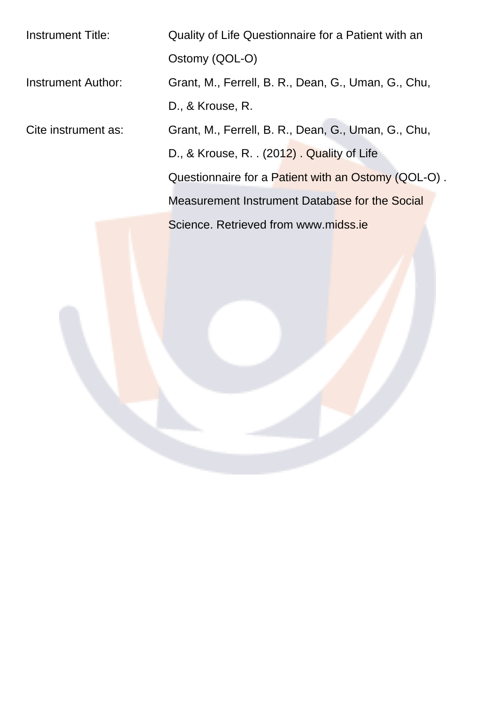Instrument Title: Quality of Life Questionnaire for a Patient with an Ostomy (QOL-O) Instrument Author: Grant, M., Ferrell, B. R., Dean, G., Uman, G., Chu, D., & Krouse, R. Cite instrument as: Grant, M., Ferrell, B. R., Dean, G., Uman, G., Chu, D., & Krouse, R. . (2012) . Quality of Life Questionnaire for a Patient with an Ostomy (QOL-O) . Measurement Instrument Database for the Social Science. Retrieved from www.midss.ie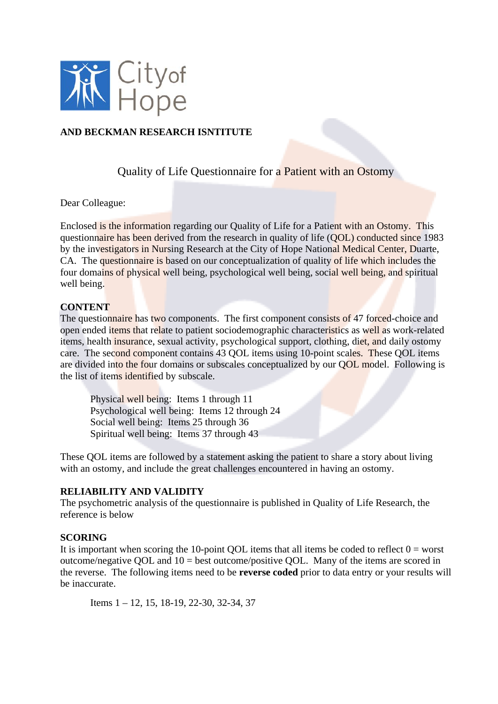

## **AND BECKMAN RESEARCH ISNTITUTE**

Quality of Life Questionnaire for a Patient with an Ostomy

Dear Colleague:

Enclosed is the information regarding our Quality of Life for a Patient with an Ostomy. This questionnaire has been derived from the research in quality of life (QOL) conducted since 1983 by the investigators in Nursing Research at the City of Hope National Medical Center, Duarte, CA. The questionnaire is based on our conceptualization of quality of life which includes the four domains of physical well being, psychological well being, social well being, and spiritual well being.

#### **CONTENT**

The questionnaire has two components. The first component consists of 47 forced-choice and open ended items that relate to patient sociodemographic characteristics as well as work-related items, health insurance, sexual activity, psychological support, clothing, diet, and daily ostomy care. The second component contains 43 QOL items using 10-point scales. These QOL items are divided into the four domains or subscales conceptualized by our QOL model. Following is the list of items identified by subscale.

 Physical well being: Items 1 through 11 Psychological well being: Items 12 through 24 Social well being: Items 25 through 36 Spiritual well being: Items 37 through 43

These QOL items are followed by a statement asking the patient to share a story about living with an ostomy, and include the great challenges encountered in having an ostomy.

### **RELIABILITY AND VALIDITY**

The psychometric analysis of the questionnaire is published in Quality of Life Research, the reference is below

#### **SCORING**

It is important when scoring the 10-point QOL items that all items be coded to reflect  $0 =$  worst outcome/negative QOL and 10 = best outcome/positive QOL. Many of the items are scored in the reverse. The following items need to be **reverse coded** prior to data entry or your results will be inaccurate.

Items 1 – 12, 15, 18-19, 22-30, 32-34, 37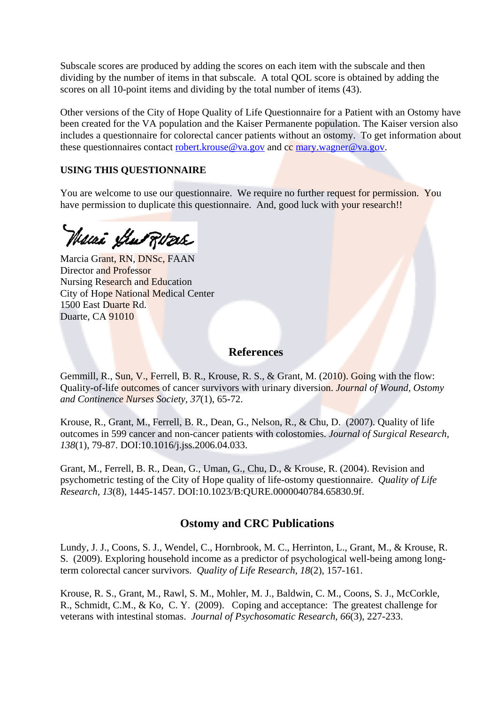Subscale scores are produced by adding the scores on each item with the subscale and then dividing by the number of items in that subscale. A total QOL score is obtained by adding the scores on all 10-point items and dividing by the total number of items (43).

Other versions of the City of Hope Quality of Life Questionnaire for a Patient with an Ostomy have been created for the VA population and the Kaiser Permanente population. The Kaiser version also includes a questionnaire for colorectal cancer patients without an ostomy. To get information about these questionnaires contact robert.krouse@va.gov and cc mary.wagner@va.gov.

## **USING THIS QUESTIONNAIRE**

You are welcome to use our questionnaire. We require no further request for permission. You have permission to duplicate this questionnaire. And, good luck with your research!!

Waai yhu Rose

Marcia Grant, RN, DNSc, FAAN Director and Professor Nursing Research and Education City of Hope National Medical Center 1500 East Duarte Rd. Duarte, CA 91010

## **References**

Gemmill, R., Sun, V., Ferrell, B. R., Krouse, R. S., & Grant, M. (2010). Going with the flow: Quality-of-life outcomes of cancer survivors with urinary diversion. *Journal of Wound, Ostomy and Continence Nurses Society, 37*(1), 65-72.

Krouse, R., Grant, M., Ferrell, B. R., Dean, G., Nelson, R., & Chu, D. (2007). Quality of life outcomes in 599 cancer and non-cancer patients with colostomies. *Journal of Surgical Research, 138*(1), 79-87. DOI:10.1016/j.jss.2006.04.033.

Grant, M., Ferrell, B. R., Dean, G., Uman, G., Chu, D., & Krouse, R. (2004). Revision and psychometric testing of the City of Hope quality of life-ostomy questionnaire. *Quality of Life Research, 13*(8), 1445-1457. DOI:10.1023/B:QURE.0000040784.65830.9f.

## **Ostomy and CRC Publications**

Lundy, J. J., Coons, S. J., Wendel, C., Hornbrook, M. C., Herrinton, L., Grant, M., & Krouse, R. S. (2009). Exploring household income as a predictor of psychological well-being among longterm colorectal cancer survivors. *Quality of Life Research*, *18*(2), 157-161.

Krouse, R. S., Grant, M., Rawl, S. M., Mohler, M. J., Baldwin, C. M., Coons, S. J., McCorkle, R., Schmidt, C.M., & Ko, C. Y. (2009). Coping and acceptance: The greatest challenge for veterans with intestinal stomas. *Journal of Psychosomatic Research*, *66*(3), 227-233.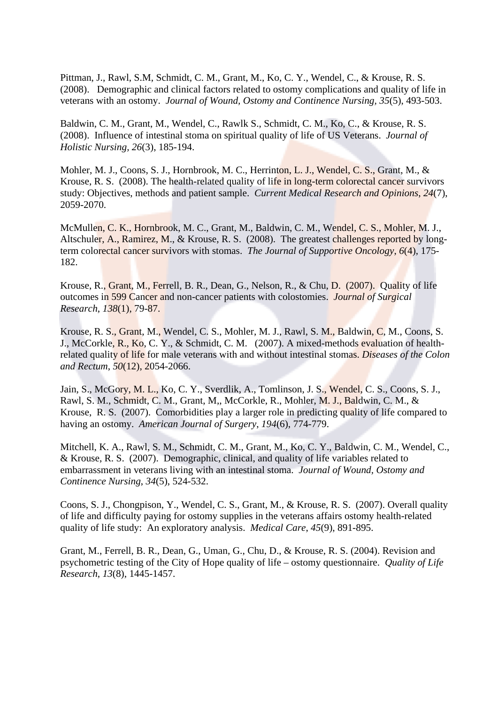Pittman, J., Rawl, S.M, Schmidt, C. M., Grant, M., Ko, C. Y., Wendel, C., & Krouse, R. S. (2008). Demographic and clinical factors related to ostomy complications and quality of life in veterans with an ostomy. *Journal of Wound, Ostomy and Continence Nursing, 35*(5), 493-503.

Baldwin, C. M., Grant, M., Wendel, C., Rawlk S., Schmidt, C. M., Ko, C., & Krouse, R. S. (2008). Influence of intestinal stoma on spiritual quality of life of US Veterans. *Journal of Holistic Nursing, 26*(3), 185-194.

Mohler, M. J., Coons, S. J., Hornbrook, M. C., Herrinton, L. J., Wendel, C. S., Grant, M., & Krouse, R. S. (2008). The health-related quality of life in long-term colorectal cancer survivors study: Objectives, methods and patient sample. *Current Medical Research and Opinions*, *24*(7), 2059-2070.

McMullen, C. K., Hornbrook, M. C., Grant, M., Baldwin, C. M., Wendel, C. S., Mohler, M. J., Altschuler, A., Ramirez, M., & Krouse, R. S. (2008). The greatest challenges reported by longterm colorectal cancer survivors with stomas. *The Journal of Supportive Oncology*, *6*(4), 175- 182.

Krouse, R., Grant, M., Ferrell, B. R., Dean, G., Nelson, R., & Chu, D. (2007). Quality of life outcomes in 599 Cancer and non-cancer patients with colostomies. *Journal of Surgical Research*, *138*(1), 79-87.

Krouse, R. S., Grant, M., Wendel, C. S., Mohler, M. J., Rawl, S. M., Baldwin, C. M., Coons, S. J., McCorkle, R., Ko, C. Y., & Schmidt, C. M. (2007). A mixed-methods evaluation of healthrelated quality of life for male veterans with and without intestinal stomas. *Diseases of the Colon and Rectum*, *50*(12), 2054-2066.

Jain, S., McGory, M. L., Ko, C. Y., Sverdlik, A., Tomlinson, J. S., Wendel, C. S., Coons, S. J., Rawl, S. M., Schmidt, C. M., Grant, M,, McCorkle, R., Mohler, M. J., Baldwin, C. M., & Krouse, R. S. (2007). Comorbidities play a larger role in predicting quality of life compared to having an ostomy. *American Journal of Surgery*, *194*(6), 774-779.

Mitchell, K. A., Rawl, S. M., Schmidt, C. M., Grant, M., Ko, C. Y., Baldwin, C. M., Wendel, C., & Krouse, R. S. (2007). Demographic, clinical, and quality of life variables related to embarrassment in veterans living with an intestinal stoma. *Journal of Wound, Ostomy and Continence Nursing*, *34*(5), 524-532.

Coons, S. J., Chongpison, Y., Wendel, C. S., Grant, M., & Krouse, R. S. (2007). Overall quality of life and difficulty paying for ostomy supplies in the veterans affairs ostomy health-related quality of life study: An exploratory analysis. *Medical Care*, *45*(9), 891-895.

Grant, M., Ferrell, B. R., Dean, G., Uman, G., Chu, D., & Krouse, R. S. (2004). Revision and psychometric testing of the City of Hope quality of life – ostomy questionnaire. *Quality of Life Research*, *13*(8), 1445-1457.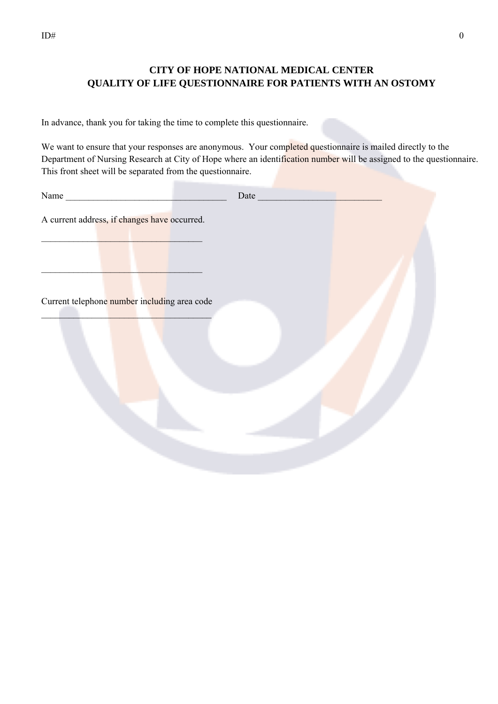# **CITY OF HOPE NATIONAL MEDICAL CENTER QUALITY OF LIFE QUESTIONNAIRE FOR PATIENTS WITH AN OSTOMY**

In advance, thank you for taking the time to complete this questionnaire.

We want to ensure that your responses are anonymous. Your completed questionnaire is mailed directly to the Department of Nursing Research at City of Hope where an identification number will be assigned to the questionnaire. This front sheet will be separated from the questionnaire.

| Name                                         |  |
|----------------------------------------------|--|
| A current address, if changes have occurred. |  |
| Current telephone number including area code |  |
|                                              |  |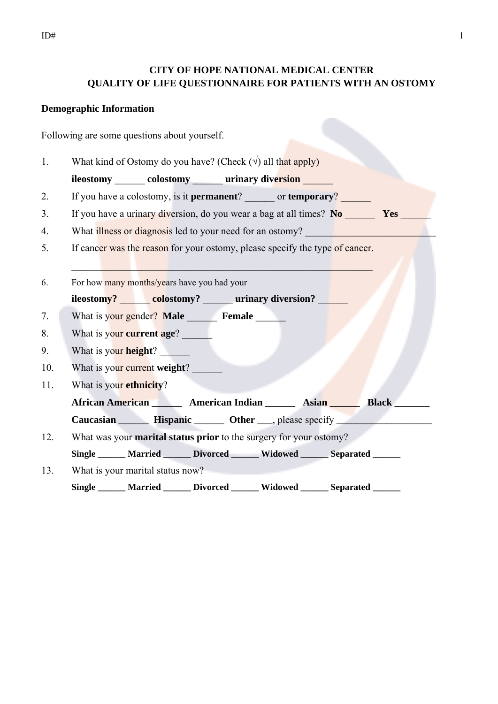# **CITY OF HOPE NATIONAL MEDICAL CENTER QUALITY OF LIFE QUESTIONNAIRE FOR PATIENTS WITH AN OSTOMY**

### **Demographic Information**

Following are some questions about yourself.

1. What kind of Ostomy do you have? (Check  $(\sqrt{)}$  all that apply)

**ileostomy colostomy urinary diversion** 

- 2. If you have a colostomy, is it **permanent**? or **temporary**?
- 3. If you have a urinary diversion, do you wear a bag at all times? No **Yes**
- 4. What illness or diagnosis led to your need for an ostomy?
- 5. If cancer was the reason for your ostomy, please specify the type of cancer.

 $\mathcal{L}_\mathcal{L}$  , and the set of the set of the set of the set of the set of the set of the set of the set of the set of

- 6. For how many months/years have you had your **ileostomy? colostomy? urinary diversion?** 7. What is your gender? Male **Female**
- 8. What is your **current age**?
- 9. What is your **height**? \_\_\_\_\_\_
- 10. What is your current weight?
- 11. What is your **ethnicity**?
	- African American **Musican American Indian Musican Asian Report Black Line Asian Report Asian Report Asian Report Asian Report Asian Report Asian Report Asian Report Asian Report Asian Report Asian Report Asian Report Asian**

 **Caucasian \_\_\_\_\_\_ Hispanic \_\_\_\_\_\_ Other \_\_\_**, please specify **\_\_\_\_\_\_\_\_\_\_\_\_\_\_\_\_\_\_\_**

12. What was your **marital status prior** to the surgery for your ostomy?

**Single \_\_\_\_\_\_ Married \_\_\_\_\_\_ Divorced \_\_\_\_\_\_ Widowed \_\_\_\_\_\_ Separated \_\_\_\_\_\_** 

13. What is your marital status now? **Single \_\_\_\_\_\_ Married \_\_\_\_\_\_ Divorced \_\_\_\_\_\_ Widowed \_\_\_\_\_\_ Separated \_\_\_\_\_\_**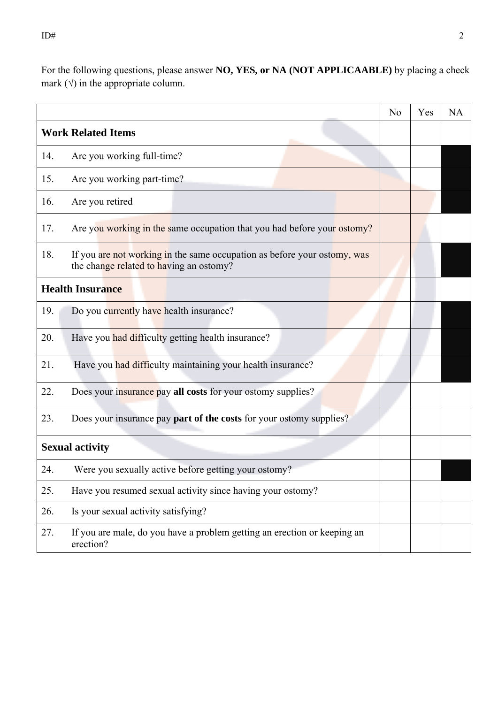For the following questions, please answer **NO, YES, or NA (NOT APPLICAABLE)** by placing a check mark  $(\sqrt{})$  in the appropriate column.

|     |                                                                                                                     | No | Yes | <b>NA</b> |
|-----|---------------------------------------------------------------------------------------------------------------------|----|-----|-----------|
|     | <b>Work Related Items</b>                                                                                           |    |     |           |
| 14. | Are you working full-time?                                                                                          |    |     |           |
| 15. | Are you working part-time?                                                                                          |    |     |           |
| 16. | Are you retired                                                                                                     |    |     |           |
| 17. | Are you working in the same occupation that you had before your ostomy?                                             |    |     |           |
| 18. | If you are not working in the same occupation as before your ostomy, was<br>the change related to having an ostomy? |    |     |           |
|     | <b>Health Insurance</b>                                                                                             |    |     |           |
| 19. | Do you currently have health insurance?                                                                             |    |     |           |
| 20. | Have you had difficulty getting health insurance?                                                                   |    |     |           |
| 21. | Have you had difficulty maintaining your health insurance?                                                          |    |     |           |
| 22. | Does your insurance pay all costs for your ostomy supplies?                                                         |    |     |           |
| 23. | Does your insurance pay <b>part of the costs</b> for your ostomy supplies?                                          |    |     |           |
|     | <b>Sexual activity</b>                                                                                              |    |     |           |
| 24. | Were you sexually active before getting your ostomy?                                                                |    |     |           |
| 25. | Have you resumed sexual activity since having your ostomy?                                                          |    |     |           |
| 26. | Is your sexual activity satisfying?                                                                                 |    |     |           |
| 27. | If you are male, do you have a problem getting an erection or keeping an<br>erection?                               |    |     |           |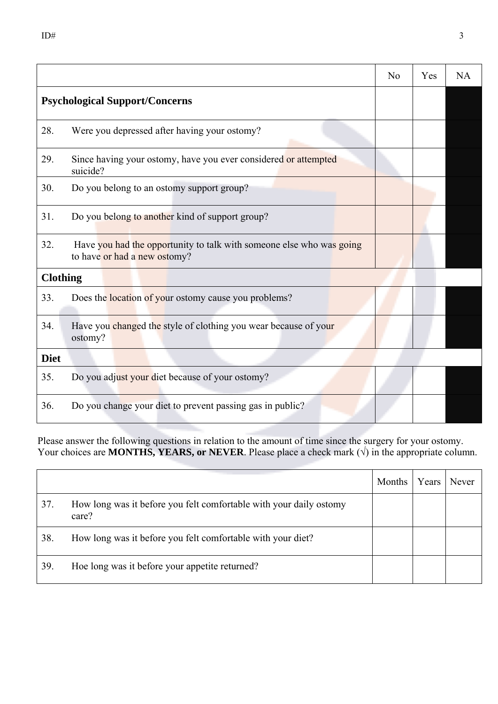|                 |                                                                                                      | N <sub>0</sub> | Yes | <b>NA</b> |
|-----------------|------------------------------------------------------------------------------------------------------|----------------|-----|-----------|
|                 | <b>Psychological Support/Concerns</b>                                                                |                |     |           |
| 28.             | Were you depressed after having your ostomy?                                                         |                |     |           |
| 29.             | Since having your ostomy, have you ever considered or attempted<br>suicide?                          |                |     |           |
| 30.             | Do you belong to an ostomy support group?                                                            |                |     |           |
| 31.             | Do you belong to another kind of support group?                                                      |                |     |           |
| 32.             | Have you had the opportunity to talk with someone else who was going<br>to have or had a new ostomy? |                |     |           |
| <b>Clothing</b> |                                                                                                      |                |     |           |
| 33.             | Does the location of your ostomy cause you problems?                                                 |                |     |           |
| 34.             | Have you changed the style of clothing you wear because of your<br>ostomy?                           |                |     |           |
| <b>Diet</b>     |                                                                                                      |                |     |           |
| 35.             | Do you adjust your diet because of your ostomy?                                                      |                |     |           |
| 36.             | Do you change your diet to prevent passing gas in public?                                            |                |     |           |

Please answer the following questions in relation to the amount of time since the surgery for your ostomy. Your choices are **MONTHS, YEARS, or NEVER**. Please place a check mark  $(\sqrt{})$  in the appropriate column.

|     |                                                                             | Months | Years | <b>Never</b> |
|-----|-----------------------------------------------------------------------------|--------|-------|--------------|
| 37. | How long was it before you felt comfortable with your daily ostomy<br>care? |        |       |              |
| 38. | How long was it before you felt comfortable with your diet?                 |        |       |              |
| 39. | Hoe long was it before your appetite returned?                              |        |       |              |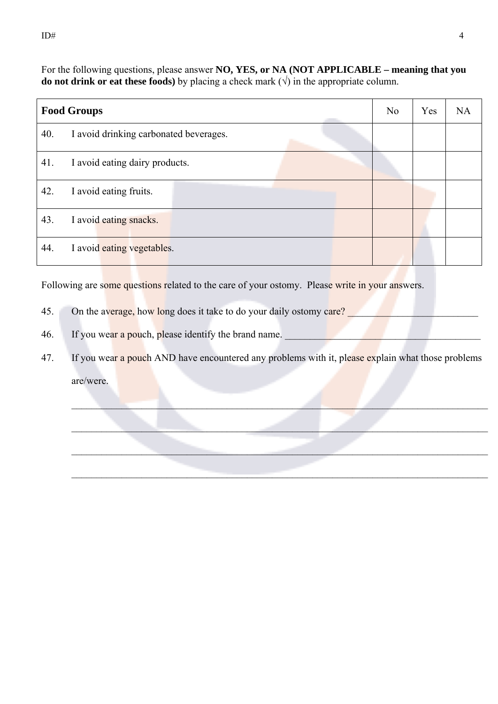For the following questions, please answer **NO, YES, or NA (NOT APPLICABLE – meaning that you do not drink or eat these foods)** by placing a check mark  $(\sqrt{})$  in the appropriate column.

|     | <b>Food Groups</b>                     | No | Yes | <b>NA</b> |
|-----|----------------------------------------|----|-----|-----------|
| 40. | I avoid drinking carbonated beverages. |    |     |           |
| 41. | I avoid eating dairy products.         |    |     |           |
| 42. | I avoid eating fruits.                 |    |     |           |
| 43. | I avoid eating snacks.                 |    |     |           |
| 44. | I avoid eating vegetables.             |    |     |           |

Following are some questions related to the care of your ostomy. Please write in your answers.

- 45. On the average, how long does it take to do your daily ostomy care?
- 46. If you wear a pouch, please identify the brand name.
- 47. If you wear a pouch AND have encountered any problems with it, please explain what those problems are/were.

 $\mathcal{L}_\mathcal{L} = \mathcal{L}_\mathcal{L} = \mathcal{L}_\mathcal{L} = \mathcal{L}_\mathcal{L} = \mathcal{L}_\mathcal{L} = \mathcal{L}_\mathcal{L} = \mathcal{L}_\mathcal{L} = \mathcal{L}_\mathcal{L} = \mathcal{L}_\mathcal{L} = \mathcal{L}_\mathcal{L} = \mathcal{L}_\mathcal{L} = \mathcal{L}_\mathcal{L} = \mathcal{L}_\mathcal{L} = \mathcal{L}_\mathcal{L} = \mathcal{L}_\mathcal{L} = \mathcal{L}_\mathcal{L} = \mathcal{L}_\mathcal{L}$ 

 $\mathcal{L}_\mathcal{L} = \mathcal{L}_\mathcal{L} = \mathcal{L}_\mathcal{L} = \mathcal{L}_\mathcal{L} = \mathcal{L}_\mathcal{L} = \mathcal{L}_\mathcal{L} = \mathcal{L}_\mathcal{L} = \mathcal{L}_\mathcal{L} = \mathcal{L}_\mathcal{L} = \mathcal{L}_\mathcal{L} = \mathcal{L}_\mathcal{L} = \mathcal{L}_\mathcal{L} = \mathcal{L}_\mathcal{L} = \mathcal{L}_\mathcal{L} = \mathcal{L}_\mathcal{L} = \mathcal{L}_\mathcal{L} = \mathcal{L}_\mathcal{L}$ 

 $\mathcal{L}_\mathcal{L} = \{ \mathcal{L}_\mathcal{L} = \{ \mathcal{L}_\mathcal{L} = \{ \mathcal{L}_\mathcal{L} = \{ \mathcal{L}_\mathcal{L} = \{ \mathcal{L}_\mathcal{L} = \{ \mathcal{L}_\mathcal{L} = \{ \mathcal{L}_\mathcal{L} = \{ \mathcal{L}_\mathcal{L} = \{ \mathcal{L}_\mathcal{L} = \{ \mathcal{L}_\mathcal{L} = \{ \mathcal{L}_\mathcal{L} = \{ \mathcal{L}_\mathcal{L} = \{ \mathcal{L}_\mathcal{L} = \{ \mathcal{L}_\mathcal{$ 

 $\mathcal{L}_\text{max}$  and  $\mathcal{L}_\text{max}$  and  $\mathcal{L}_\text{max}$  are the set of the set of the set of the set of the set of the set of the set of the set of the set of the set of the set of the set of the set of the set of the set of th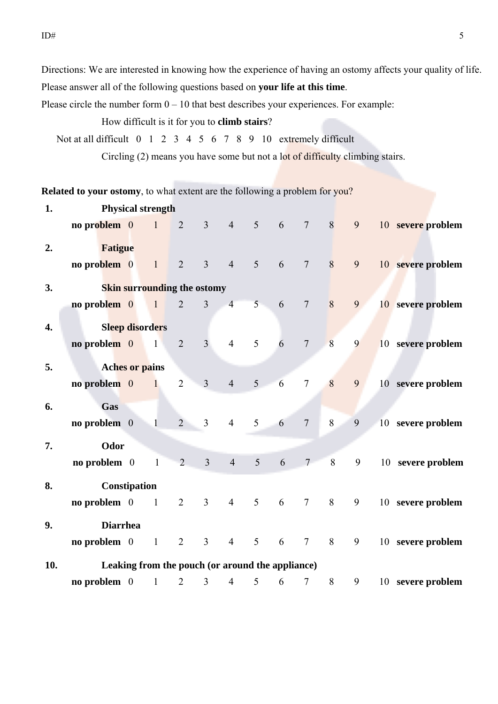Directions: We are interested in knowing how the experience of having an ostomy affects your quality of life. Please answer all of the following questions based on **your life at this time**.

Please circle the number form  $0 - 10$  that best describes your experiences. For example:

### How difficult is it for you to **climb stairs**?

Not at all difficult 0 1 2 3 4 5 6 7 8 9 10 extremely difficult

Circling (2) means you have some but not a lot of difficulty climbing stairs.

**Related to your ostomy**, to what extent are the following a problem for you?

| 1.               | <b>Physical strength</b> |  |                                                  |                |                |                |                |   |                 |       |   |  |                   |
|------------------|--------------------------|--|--------------------------------------------------|----------------|----------------|----------------|----------------|---|-----------------|-------|---|--|-------------------|
|                  | no problem 0             |  | $\overline{1}$                                   | $\overline{2}$ | $\overline{3}$ | $\overline{4}$ | 5              | 6 | $7\phantom{.0}$ | 8     | 9 |  | 10 severe problem |
| 2.               | <b>Fatigue</b>           |  |                                                  |                |                |                |                |   |                 |       |   |  |                   |
|                  | no problem 0             |  | $\mathbf{1}$                                     | $\overline{2}$ | $\overline{3}$ | $\overline{4}$ | 5              | 6 | $7\phantom{.0}$ | 8     | 9 |  | 10 severe problem |
| 3.               |                          |  | <b>Skin surrounding the ostomy</b>               |                |                |                |                |   |                 |       |   |  |                   |
|                  | no problem 0             |  | $\blacksquare$                                   | $\overline{2}$ | $\overline{3}$ | $\overline{4}$ | 5 <sup>1</sup> | 6 | $7\overline{ }$ | 8     | 9 |  | 10 severe problem |
| $\overline{4}$ . |                          |  | <b>Sleep disorders</b>                           |                |                |                |                |   |                 |       |   |  |                   |
|                  | no problem $0$           |  | $\overline{1}$                                   | 2              | $\overline{3}$ | $\overline{4}$ | 5              | 6 | $7\phantom{.0}$ | 8     | 9 |  | 10 severe problem |
| 5.               |                          |  | <b>Aches or pains</b>                            |                |                |                |                |   |                 |       |   |  |                   |
|                  | no problem $0$           |  | $\overline{1}$                                   | $\overline{2}$ | $\overline{3}$ | $\overline{4}$ | 5 <sup>5</sup> | 6 | $\tau$          | 8     | 9 |  | 10 severe problem |
| 6.               | Gas                      |  |                                                  |                |                |                |                |   |                 |       |   |  |                   |
|                  | no problem $0$           |  | $\blacksquare$                                   | $\overline{2}$ | $\overline{3}$ | $\overline{4}$ | 5              | 6 | $\overline{7}$  | 8     | 9 |  | 10 severe problem |
| 7.               | Odor                     |  |                                                  |                |                |                |                |   |                 |       |   |  |                   |
|                  | no problem $0$           |  | $\mathbf{1}$                                     | $\overline{2}$ | $\overline{3}$ | $\overline{4}$ | 5              | 6 | $7\overline{ }$ | $8\,$ | 9 |  | 10 severe problem |
| 8.               | Constipation             |  |                                                  |                |                |                |                |   |                 |       |   |  |                   |
|                  | no problem $0$           |  | $\overline{1}$                                   | 2              | $\overline{3}$ | $\overline{4}$ | 5              | 6 | $7\overline{ }$ | 8     | 9 |  | 10 severe problem |
| 9.               | <b>Diarrhea</b>          |  |                                                  |                |                |                |                |   |                 |       |   |  |                   |
|                  | no problem $0$           |  | $\,1\,$                                          | $\overline{2}$ | $\overline{3}$ | $\overline{4}$ | 5              | 6 | $\tau$          | 8     | 9 |  | 10 severe problem |
| 10.              |                          |  | Leaking from the pouch (or around the appliance) |                |                |                |                |   |                 |       |   |  |                   |
|                  | no problem $0$           |  | $\mathbf{1}$                                     | $\overline{2}$ | $\overline{3}$ | $\overline{4}$ | 5              | 6 | $\tau$          | 8     | 9 |  | 10 severe problem |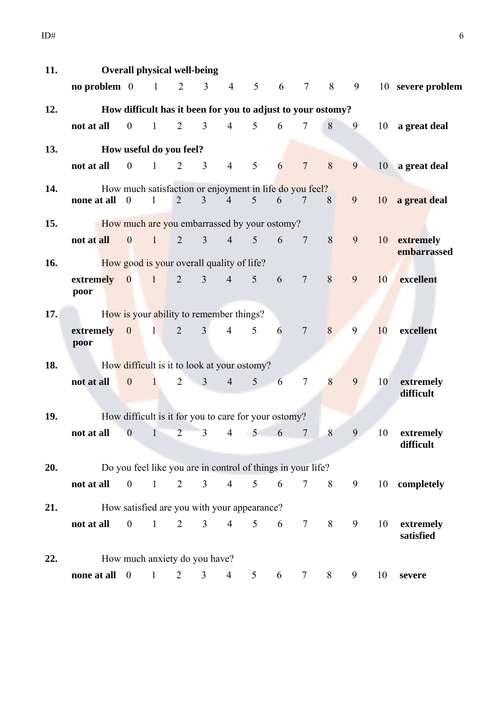| 11. | <b>Overall physical well-being</b>                           |                         |                                                             |                |                         |                |                |                 |                  |   |           |    |                             |
|-----|--------------------------------------------------------------|-------------------------|-------------------------------------------------------------|----------------|-------------------------|----------------|----------------|-----------------|------------------|---|-----------|----|-----------------------------|
|     | no problem $0 \t 1 \t 2$                                     |                         |                                                             |                | $\overline{3}$          | $\overline{4}$ | 5 <sup>5</sup> | $6\overline{6}$ | $7\phantom{.0}$  | 8 | $9 \quad$ |    | 10 severe problem           |
| 12. | How difficult has it been for you to adjust to your ostomy?  |                         |                                                             |                |                         |                |                |                 |                  |   |           |    |                             |
|     | not at all                                                   | $\overline{\mathbf{0}}$ | $\mathbf{1}$                                                | $\overline{2}$ | $\overline{3}$          | $\overline{4}$ | 5 <sup>5</sup> | $6\degree$      | $7\overline{ }$  | 8 | 9         |    | 10 a great deal             |
| 13. | How useful do you feel?                                      |                         |                                                             |                |                         |                |                |                 |                  |   |           |    |                             |
|     | not at all                                                   | $\overline{\mathbf{0}}$ | 1                                                           |                | $2 \quad 3$             | $\overline{4}$ | 5              | 6               | $\overline{7}$   | 8 | 9         |    | 10 a great deal             |
| 14. | How much satisfaction or enjoyment in life do you feel?      |                         |                                                             |                |                         |                |                |                 |                  |   |           |    |                             |
|     | none at all $\theta$                                         |                         | $\mathbf{1}$                                                | 2              | $\overline{3}$          | $\overline{4}$ | 5              | 6               | 7 8              |   | 9         |    | 10 a great deal             |
| 15. | <b>EXECUTE:</b> How much are you embarrassed by your ostomy? |                         |                                                             |                |                         |                |                |                 |                  |   |           |    |                             |
|     | not at all                                                   |                         | 0 1 2 3 4 5                                                 |                |                         |                |                |                 | $6 \overline{7}$ | 8 | 9         |    | 10 extremely<br>embarrassed |
| 16. | How good is your overall quality of life?                    |                         |                                                             |                |                         |                |                |                 |                  |   |           |    |                             |
|     | <b>extremely</b> 0 1 2 3 4 5 6<br>poor                       |                         |                                                             |                |                         |                |                |                 | $7\phantom{.0}$  | 8 | 9         | 10 | excellent                   |
| 17. | <b>Example 15 How is your ability to remember things?</b>    |                         |                                                             |                |                         |                |                |                 |                  |   |           |    |                             |
|     | $extremely \quad 0 \quad 1 \quad 2 \quad 3$<br>poor          |                         |                                                             |                |                         | $\overline{4}$ | 5 <sup>5</sup> | 6               | $\overline{7}$   | 8 | 9         | 10 | excellent                   |
| 18. | How difficult is it to look at your ostomy?                  |                         |                                                             |                |                         |                |                |                 |                  |   |           |    |                             |
|     | not at all                                                   | $\overline{\mathbf{0}}$ | $\mathbf{1}$                                                | $\overline{2}$ | $\overline{\mathbf{3}}$ | $4 \quad$      |                | $5\qquad 6$     | $\tau$           | 8 | 9         | 10 | extremely<br>difficult      |
|     |                                                              |                         |                                                             |                |                         |                |                |                 |                  |   |           |    |                             |
| 19. | How difficult is it for you to care for your ostomy?         |                         |                                                             |                |                         |                |                |                 |                  |   |           |    |                             |
|     | not at all                                                   | $\mathbf{0}$            | $\mathbf{1}$                                                | $\overline{2}$ | $\overline{3}$          | $\overline{4}$ | 5              | 6               | $\tau$           | 8 | 9         | 10 | extremely<br>difficult      |
| 20. |                                                              |                         | Do you feel like you are in control of things in your life? |                |                         |                |                |                 |                  |   |           |    |                             |
|     | not at all                                                   | $\mathbf{0}$            | $\mathbf{1}$                                                | $\overline{2}$ | 3 <sup>7</sup>          | $\overline{4}$ | 5 <sup>5</sup> | 6               | $\tau$           | 8 | 9         |    | 10 completely               |
| 21. |                                                              |                         | How satisfied are you with your appearance?                 |                |                         |                |                |                 |                  |   |           |    |                             |
|     | not at all                                                   | $\boldsymbol{0}$        | $\mathbf{1}$                                                | $\overline{2}$ | 3 <sup>7</sup>          | $\overline{4}$ | 5 <sup>5</sup> | 6               | $7\overline{ }$  | 8 | 9         | 10 | extremely<br>satisfied      |
| 22. |                                                              |                         | How much anxiety do you have?                               |                |                         |                |                |                 |                  |   |           |    |                             |
|     | none at all                                                  | $\overline{0}$          | $\mathbf{1}$                                                | $\overline{2}$ | 3                       | $\overline{4}$ | 5              | 6               | 7                | 8 | 9         | 10 | severe                      |
|     |                                                              |                         |                                                             |                |                         |                |                |                 |                  |   |           |    |                             |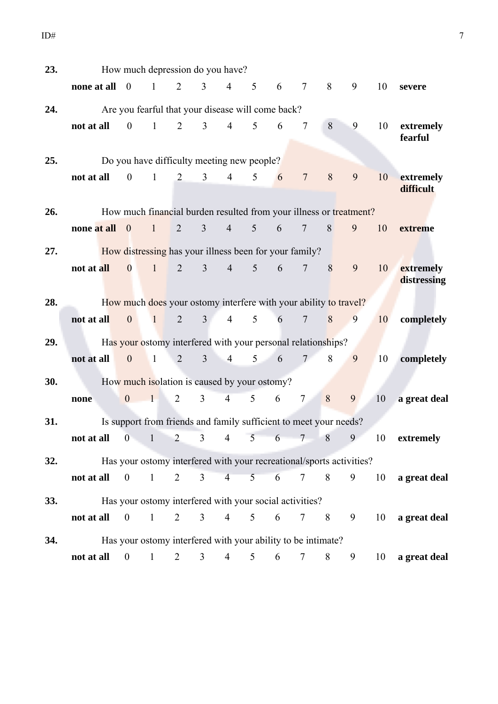| 23. | How much depression do you have? |                          |                                                                      |                |                |                |                 |             |                 |   |   |    |                          |
|-----|----------------------------------|--------------------------|----------------------------------------------------------------------|----------------|----------------|----------------|-----------------|-------------|-----------------|---|---|----|--------------------------|
|     | none at all 0                    |                          | $\mathbf{1}$                                                         | 2              | $\overline{3}$ | $\overline{4}$ | 5               | 6           | $\tau$          | 8 | 9 | 10 | severe                   |
| 24. |                                  |                          | Are you fearful that your disease will come back?                    |                |                |                |                 |             |                 |   |   |    |                          |
|     | not at all                       | $\overline{0}$           | $\overline{1}$                                                       | $\overline{2}$ | $\mathfrak{Z}$ | $\overline{4}$ | $\mathfrak{S}$  | 6           | $\tau$          | 8 | 9 | 10 | extremely<br>fearful     |
| 25. |                                  |                          | Do you have difficulty meeting new people?                           |                |                |                |                 |             |                 |   |   |    |                          |
|     | not at all                       | $\overline{0}$           | $\overline{1}$                                                       | $\overline{2}$ | $\overline{3}$ | $\overline{4}$ | $5\overline{)}$ | 6           | $\overline{7}$  | 8 | 9 | 10 | extremely<br>difficult   |
| 26. |                                  |                          | How much financial burden resulted from your illness or treatment?   |                |                |                |                 |             |                 |   |   |    |                          |
|     | none at all                      | $\overline{\phantom{0}}$ | $\mathbf{1}$                                                         | $\overline{2}$ | 3              | $\overline{4}$ | 5 <sup>5</sup>  | 6           | $\overline{7}$  | 8 | 9 | 10 | extreme                  |
| 27. |                                  |                          | How distressing has your illness been for your family?               |                |                |                |                 |             |                 |   |   |    |                          |
|     | not at all                       | $\bf{0}$                 | $\mathbf{1}$                                                         | $\overline{2}$ | 3 <sup>1</sup> | $\overline{4}$ | 5 <sup>7</sup>  | 6           | $\overline{7}$  | 8 | 9 | 10 | extremely<br>distressing |
| 28. |                                  |                          | How much does your ostomy interfere with your ability to travel?     |                |                |                |                 |             |                 |   |   |    |                          |
|     | not at all                       | $\mathbf{0}$             | $\mathbf{1}$                                                         | 2              | 3 <sup>1</sup> | $\overline{4}$ | 5               | 6           | $\overline{7}$  | 8 | 9 | 10 | completely               |
| 29. |                                  |                          | Has your ostomy interfered with your personal relationships?         |                |                |                |                 |             |                 |   |   |    |                          |
|     | not at all                       | $\mathbf{0}$             | $\mathbf{1}$                                                         | $\overline{2}$ | $\overline{3}$ | $\overline{4}$ | 5 <sup>1</sup>  | 6           | $7^{\circ}$     | 8 | 9 | 10 | completely               |
| 30. |                                  |                          | How much isolation is caused by your ostomy?                         |                |                |                |                 |             |                 |   |   |    |                          |
|     | none                             | $\overline{0}$           | $\mathbf{1}$                                                         | $\overline{2}$ | 3              | $\overline{4}$ | 5 <sup>5</sup>  | 6           | $\overline{7}$  | 8 | 9 | 10 | a great deal             |
| 31. |                                  |                          | Is support from friends and family sufficient to meet your needs?    |                |                |                |                 |             |                 |   |   |    |                          |
|     | not at all                       |                          | 0 1 2 3 4 5 6 7 8                                                    |                |                |                |                 |             |                 |   | 9 | 10 | extremely                |
| 32. |                                  |                          | Has your ostomy interfered with your recreational/sports activities? |                |                |                |                 |             |                 |   |   |    |                          |
|     | $\text{not at all} \quad 0$      |                          | $\mathbf{1}$                                                         | $\overline{2}$ | 3 <sup>7</sup> | $\overline{4}$ |                 | $5\qquad 6$ | $7\overline{ }$ | 8 | 9 |    | 10 a great deal          |
| 33. |                                  |                          | Has your ostomy interfered with your social activities?              |                |                |                |                 |             |                 |   |   |    |                          |
|     | not at all                       | $\mathbf{0}$             | $\mathbf{1}$                                                         | $\overline{2}$ | $\overline{3}$ | $\overline{4}$ | 5 <sup>5</sup>  | 6           | 7 8             |   | 9 | 10 | a great deal             |
|     |                                  |                          |                                                                      |                |                |                |                 |             |                 |   |   |    |                          |
| 34. |                                  |                          | Has your ostomy interfered with your ability to be intimate?         |                |                |                |                 |             |                 |   |   |    |                          |
|     | $\text{not at all} \quad 0$      |                          | $\mathbf{1}$                                                         | 2              | 3              | 4              | 5               | 6           | 7               | 8 | 9 | 10 | a great deal             |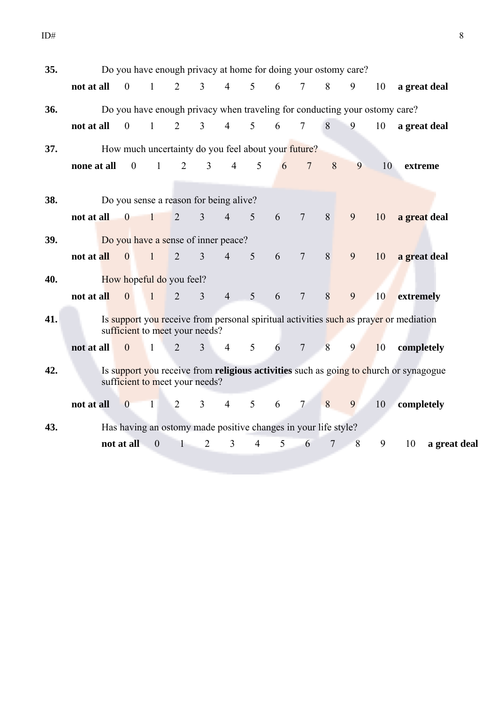| 35. |             |                          | Do you have enough privacy at home for doing your ostomy care?             |                |                |                |                 |   |                          |   |   |    |                                                                                       |
|-----|-------------|--------------------------|----------------------------------------------------------------------------|----------------|----------------|----------------|-----------------|---|--------------------------|---|---|----|---------------------------------------------------------------------------------------|
|     | not at all  | $\overline{\phantom{0}}$ | $\overline{1}$                                                             | 2              | $\overline{3}$ | $\overline{4}$ | $5\overline{)}$ | 6 | $\tau$                   | 8 | 9 | 10 | a great deal                                                                          |
| 36. |             |                          | Do you have enough privacy when traveling for conducting your ostomy care? |                |                |                |                 |   |                          |   |   |    |                                                                                       |
|     | not at all  | $\overline{0}$           | $\mathbf{1}$                                                               | 2              | $\overline{3}$ | $\overline{4}$ | 5               | 6 | $\overline{\mathcal{L}}$ | 8 | 9 | 10 | a great deal                                                                          |
| 37. |             |                          | How much uncertainty do you feel about your future?                        |                |                |                |                 |   |                          |   |   |    |                                                                                       |
|     | none at all | $\mathbf{0}$             | $\mathbf{1}$                                                               | $\overline{2}$ | $\overline{3}$ | $\overline{4}$ | 5               | 6 | $\overline{7}$           | 8 | 9 | 10 | extreme                                                                               |
| 38. |             |                          | Do you sense a reason for being alive?                                     |                |                |                |                 |   |                          |   |   |    |                                                                                       |
|     | not at all  | $\overline{\phantom{0}}$ | $\mathbf{1}$                                                               | 2              | $\overline{3}$ | $\overline{4}$ | 5               | 6 | $\overline{7}$           | 8 | 9 | 10 | a great deal                                                                          |
| 39. |             |                          | Do you have a sense of inner peace?                                        |                |                |                |                 |   |                          |   |   |    |                                                                                       |
|     | not at all  | $\overline{0}$           | $\mathbf{1}$                                                               | $\overline{2}$ | 3              | $\overline{4}$ | 5               | 6 | $\overline{7}$           | 8 | 9 | 10 | a great deal                                                                          |
| 40. |             |                          | How hopeful do you feel?                                                   |                |                |                |                 |   |                          |   |   |    |                                                                                       |
|     | not at all  | $\mathbf{0}$             | $\mathbf{1}$                                                               | $\overline{2}$ | 3              | $\overline{4}$ | 5               | 6 | $\overline{7}$           | 8 | 9 | 10 | extremely                                                                             |
| 41. |             |                          | sufficient to meet your needs?                                             |                |                |                |                 |   |                          |   |   |    | Is support you receive from personal spiritual activities such as prayer or mediation |
|     | not at all  | $\mathbf{0}$             | $\mathbf{1}$                                                               | $\overline{2}$ | $\overline{3}$ | $\overline{4}$ | 5               | 6 | $\overline{7}$           | 8 | 9 | 10 | completely                                                                            |
| 42. |             |                          | sufficient to meet your needs?                                             |                |                |                |                 |   |                          |   |   |    | Is support you receive from religious activities such as going to church or synagogue |
|     | not at all  | $\mathbf{0}$             | $\mathbf{1}$                                                               | $\overline{2}$ | $\overline{3}$ | $\overline{4}$ | 5               | 6 | $\overline{7}$           | 8 | 9 | 10 | completely                                                                            |
| 43. |             |                          | Has having an ostomy made positive changes in your life style?             |                |                |                |                 |   |                          |   |   |    |                                                                                       |
|     |             | not at all               | $\boldsymbol{0}$                                                           | 1              | $\overline{2}$ | 3              | $\overline{4}$  | 5 | 6                        | 7 | 8 | 9  | 10<br>a great deal                                                                    |